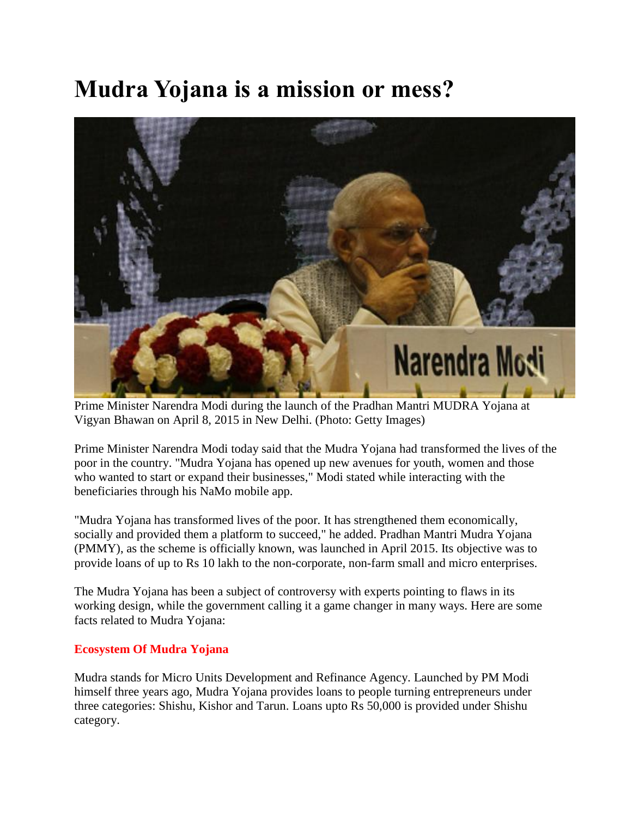## **Mudra Yojana is a mission or mess?**



Prime Minister Narendra Modi during the launch of the Pradhan Mantri MUDRA Yojana at Vigyan Bhawan on April 8, 2015 in New Delhi. (Photo: Getty Images)

Prime Minister Narendra Modi today said that the Mudra Yojana had transformed the lives of the poor in the country. "Mudra Yojana has opened up new avenues for youth, women and those who wanted to start or expand their businesses," Modi stated while interacting with the beneficiaries through his NaMo mobile app.

"Mudra Yojana has transformed lives of the poor. It has strengthened them economically, socially and provided them a platform to succeed," he added. Pradhan Mantri Mudra Yojana (PMMY), as the scheme is officially known, was launched in April 2015. Its objective was to provide loans of up to Rs 10 lakh to the non-corporate, non-farm small and micro enterprises.

The Mudra Yojana has been a subject of controversy with experts pointing to flaws in its working design, while the government calling it a game changer in many ways. Here are some facts related to Mudra Yojana:

#### **Ecosystem Of Mudra Yojana**

Mudra stands for Micro Units Development and Refinance Agency. Launched by PM Modi himself three years ago, Mudra Yojana provides loans to people turning entrepreneurs under three categories: Shishu, Kishor and Tarun. Loans upto Rs 50,000 is provided under Shishu category.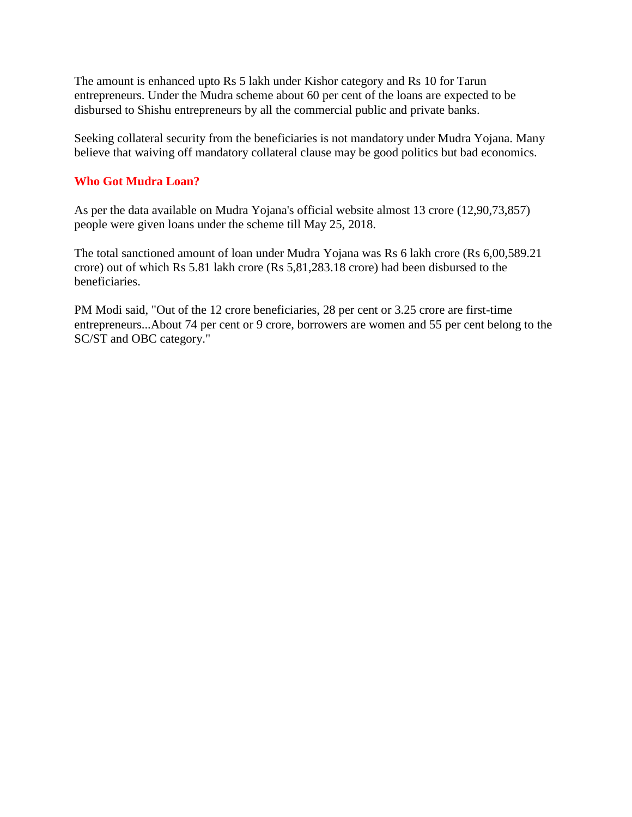The amount is enhanced upto Rs 5 lakh under Kishor category and Rs 10 for Tarun entrepreneurs. Under the Mudra scheme about 60 per cent of the loans are expected to be disbursed to Shishu entrepreneurs by all the commercial public and private banks.

Seeking collateral security from the beneficiaries is not mandatory under Mudra Yojana. Many believe that waiving off mandatory collateral clause may be good politics but bad economics.

#### **Who Got Mudra Loan?**

As per the data available on Mudra Yojana's official website almost 13 crore (12,90,73,857) people were given loans under the scheme till May 25, 2018.

The total sanctioned amount of loan under Mudra Yojana was Rs 6 lakh crore (Rs 6,00,589.21 crore) out of which Rs 5.81 lakh crore (Rs 5,81,283.18 crore) had been disbursed to the beneficiaries.

PM Modi said, "Out of the 12 crore beneficiaries, 28 per cent or 3.25 crore are first-time entrepreneurs...About 74 per cent or 9 crore, borrowers are women and 55 per cent belong to the SC/ST and OBC category."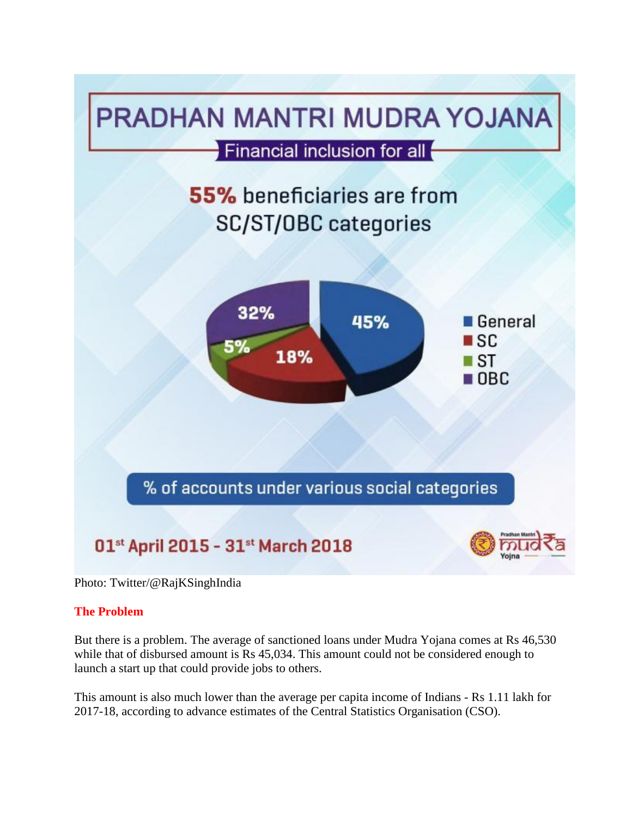

Photo: Twitter/@RajKSinghIndia

#### **The Problem**

But there is a problem. The average of sanctioned loans under Mudra Yojana comes at Rs 46,530 while that of disbursed amount is Rs 45,034. This amount could not be considered enough to launch a start up that could provide jobs to others.

This amount is also much lower than the average per capita income of Indians - Rs 1.11 lakh for 2017-18, according to advance estimates of the Central Statistics Organisation (CSO).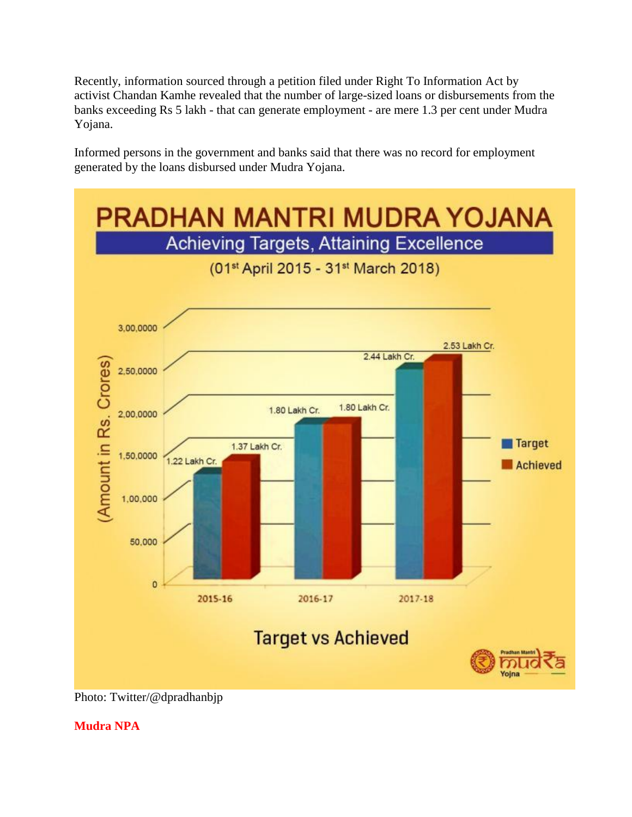Recently, information sourced through a petition filed under Right To Information Act by activist Chandan Kamhe revealed that the number of large-sized loans or disbursements from the banks exceeding Rs 5 lakh - that can generate employment - are mere 1.3 per cent under Mudra Yojana.

Informed persons in the government and banks said that there was no record for employment generated by the loans disbursed under Mudra Yojana.



Photo: Twitter/@dpradhanbjp

**Mudra NPA**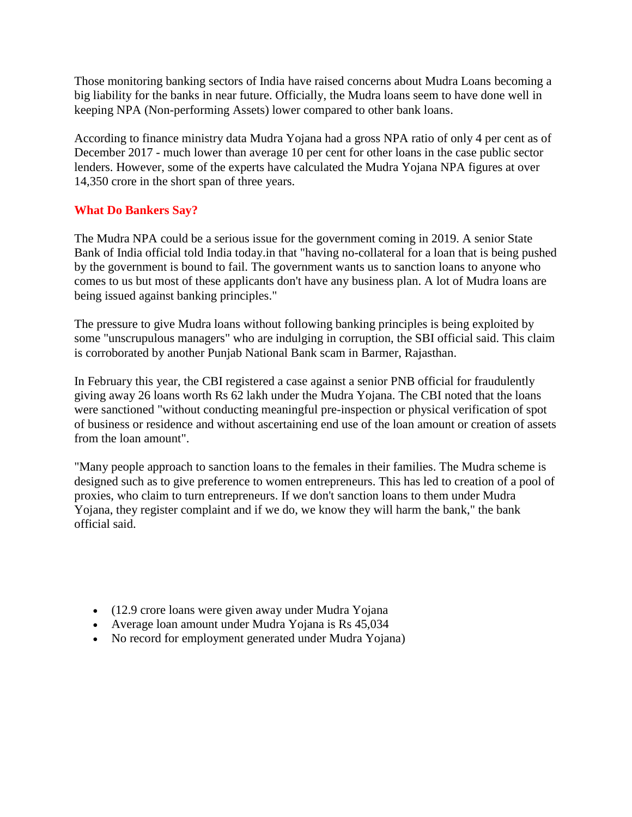Those monitoring banking sectors of India have raised concerns about Mudra Loans becoming a big liability for the banks in near future. Officially, the Mudra loans seem to have done well in keeping NPA (Non-performing Assets) lower compared to other bank loans.

According to finance ministry data Mudra Yojana had a gross NPA ratio of only 4 per cent as of December 2017 - much lower than average 10 per cent for other loans in the case public sector lenders. However, some of the experts have calculated the Mudra Yojana NPA figures at over 14,350 crore in the short span of three years.

### **What Do Bankers Say?**

The Mudra NPA could be a serious issue for the government coming in 2019. A senior State Bank of India official told India today.in that "having no-collateral for a loan that is being pushed by the government is bound to fail. The government wants us to sanction loans to anyone who comes to us but most of these applicants don't have any business plan. A lot of Mudra loans are being issued against banking principles."

The pressure to give Mudra loans without following banking principles is being exploited by some "unscrupulous managers" who are indulging in corruption, the SBI official said. This claim is corroborated by another Punjab National Bank scam in Barmer, Rajasthan.

In February this year, the CBI registered a case against a senior PNB official for fraudulently giving away 26 loans worth Rs 62 lakh under the Mudra Yojana. The CBI noted that the loans were sanctioned "without conducting meaningful pre-inspection or physical verification of spot of business or residence and without ascertaining end use of the loan amount or creation of assets from the loan amount".

"Many people approach to sanction loans to the females in their families. The Mudra scheme is designed such as to give preference to women entrepreneurs. This has led to creation of a pool of proxies, who claim to turn entrepreneurs. If we don't sanction loans to them under Mudra Yojana, they register complaint and if we do, we know they will harm the bank," the bank official said.

- (12.9 crore loans were given away under Mudra Yojana
- Average loan amount under Mudra Yojana is Rs 45,034
- No record for employment generated under Mudra Yojana)